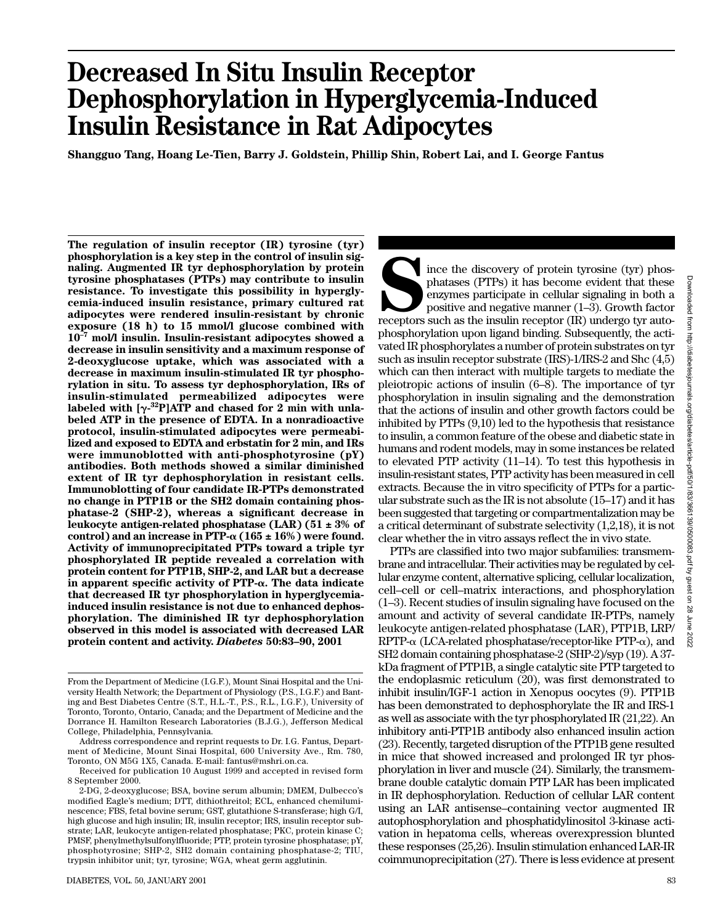# **Decreased In Situ Insulin Receptor Dephosphorylation in Hyperglycemia-Induced Insulin Resistance in Rat Adipocytes**

**Shangguo Tang, Hoang Le-Tien, Barry J. Goldstein, Phillip Shin, Robert Lai, and I. George Fantus**

**The regulation of insulin receptor (IR) tyrosine (tyr) phosphorylation is a key step in the control of insulin signaling. Augmented IR tyr dephosphorylation by protein tyrosine phosphatases (PTPs) may contribute to insulin resistance. To investigate this possibility in hyperglycemia-induced insulin resistance, primary cultured rat adipocytes were rendered insulin-resistant by chronic exposure (18 h) to 15 mmol/l glucose combined with 10–7 mol/l insulin. Insulin-resistant adipocytes showed a decrease in insulin sensitivity and a maximum response of 2-deoxyglucose uptake, which was associated with a decrease in maximum insulin-stimulated IR tyr phosphorylation in situ. To assess tyr dephosphorylation, IRs of insulin-stimulated permeabilized adipocytes were** labeled with [γ<sup>-32</sup>P]ATP and chased for 2 min with unla**beled ATP in the presence of EDTA. In a nonradioactive protocol, insulin-stimulated adipocytes were permeabilized and exposed to EDTA and erbstatin for 2 min, and IRs were immunoblotted with anti-phosphotyrosine (pY) antibodies. Both methods showed a similar diminished extent of IR tyr dephosphorylation in resistant cells. Immunoblotting of four candidate IR-PTPs demonstrated no change in PTP1B or the SH2 domain containing phosphatase-2 (SHP-2), whereas a significant decrease in leukocyte antigen-related phosphatase (LAR) (51 ± 3% of** control) and an increase in PTP- $\alpha$  (165  $\pm$  16%) were found. **Activity of immunoprecipitated PTPs toward a triple tyr phosphorylated IR peptide revealed a correlation with protein content for PTP1B, SHP-2, and LAR but a decrease in apparent specific activity of PTP-. The data indicate that decreased IR tyr phosphorylation in hyperglycemiainduced insulin resistance is not due to enhanced dephosphorylation. The diminished IR tyr dephosphorylation observed in this model is associated with decreased LAR protein content and activity.** *Diabetes* **50:83–90, 2001**

Since the discovery of protein tyrosine (tyr) phos-<br>phatases (PTPs) it has become evident that these<br>enzymes participate in cellular signaling in both a<br>positive and negative manner (1–3). Growth factor<br>receptors such as t phatases (PTPs) it has become evident that these enzymes participate in cellular signaling in both a positive and negative manner (1–3). Growth factor phosphorylation upon ligand binding. Subsequently, the activated IR phosphorylates a number of protein substrates on tyr such as insulin receptor substrate (IRS)-1/IRS-2 and Shc (4,5) which can then interact with multiple targets to mediate the pleiotropic actions of insulin (6–8). The importance of tyr phosphorylation in insulin signaling and the demonstration that the actions of insulin and other growth factors could be inhibited by PTPs (9,10) led to the hypothesis that resistance to insulin, a common feature of the obese and diabetic state in humans and rodent models, may in some instances be related to elevated PTP activity (11–14). To test this hypothesis in insulin-resistant states, PTP activity has been measured in cell extracts. Because the in vitro specificity of PTPs for a particular substrate such as the IR is not absolute (15–17) and it has been suggested that targeting or compartmentalization may be a critical determinant of substrate selectivity (1,2,18), it is not clear whether the in vitro assays reflect the in vivo state.

PTPs are classified into two major subfamilies: transmembrane and intracellular. Their activities may be regulated by cellular enzyme content, alternative splicing, cellular localization, cell–cell or cell–matrix interactions, and phosphorylation (1–3). Recent studies of insulin signaling have focused on the amount and activity of several candidate IR-PTPs, namely leukocyte antigen-related phosphatase (LAR), PTP1B, LRP/  $RPTP-\alpha$  (LCA-related phosphatase/receptor-like  $PTP-\alpha$ ), and SH2 domain containing phosphatase-2 (SHP-2)/syp (19). A 37 kDa fragment of PTP1B, a single catalytic site PTP targeted to the endoplasmic reticulum (20), was first demonstrated to inhibit insulin/IGF-1 action in Xenopus oocytes (9). PTP1B has been demonstrated to dephosphorylate the IR and IRS-1 as well as associate with the tyr phosphorylated IR (21,22). An inhibitory anti-PTP1B antibody also enhanced insulin action (23). Recently, targeted disruption of the PTP1B gene resulted in mice that showed increased and prolonged IR tyr phosphorylation in liver and muscle (24). Similarly, the transmembrane double catalytic domain PTP LAR has been implicated in IR dephosphorylation. Reduction of cellular LAR content using an LAR antisense–containing vector augmented IR autophosphorylation and phosphatidylinositol 3-kinase activation in hepatoma cells, whereas overexpression blunted these responses (25,26). Insulin stimulation enhanced LAR-IR coimmunoprecipitation (27). There is less evidence at present

From the Department of Medicine (I.G.F.), Mount Sinai Hospital and the University Health Network; the Department of Physiology (P.S., I.G.F.) and Banting and Best Diabetes Centre (S.T., H.L.-T., P.S., R.L., I.G.F.), University of Toronto, Toronto, Ontario, Canada; and the Department of Medicine and the Dorrance H. Hamilton Research Laboratories (B.J.G.), Jefferson Medical College, Philadelphia, Pennsylvania.

Address correspondence and reprint requests to Dr. I.G. Fantus, Department of Medicine, Mount Sinai Hospital, 600 University Ave., Rm. 780, Toronto, ON M5G 1X5, Canada. E-mail: fantus@mshri.on.ca.

Received for publication 10 August 1999 and accepted in revised form 8 September 2000.

<sup>2-</sup>DG, 2-deoxyglucose; BSA, bovine serum albumin; DMEM, Dulbecco's modified Eagle's medium; DTT, dithiothreitol; ECL, enhanced chemiluminescence; FBS, fetal bovine serum; GST, glutathione S-transferase; high G/I, high glucose and high insulin; IR, insulin receptor; IRS, insulin receptor substrate; LAR, leukocyte antigen-related phosphatase; PKC, protein kinase C; PMSF, phenylmethylsulfonylfluoride; PTP, protein tyrosine phosphatase; pY, phosphotyrosine; SHP-2, SH2 domain containing phosphatase-2; TIU, trypsin inhibitor unit; tyr, tyrosine; WGA, wheat germ agglutinin.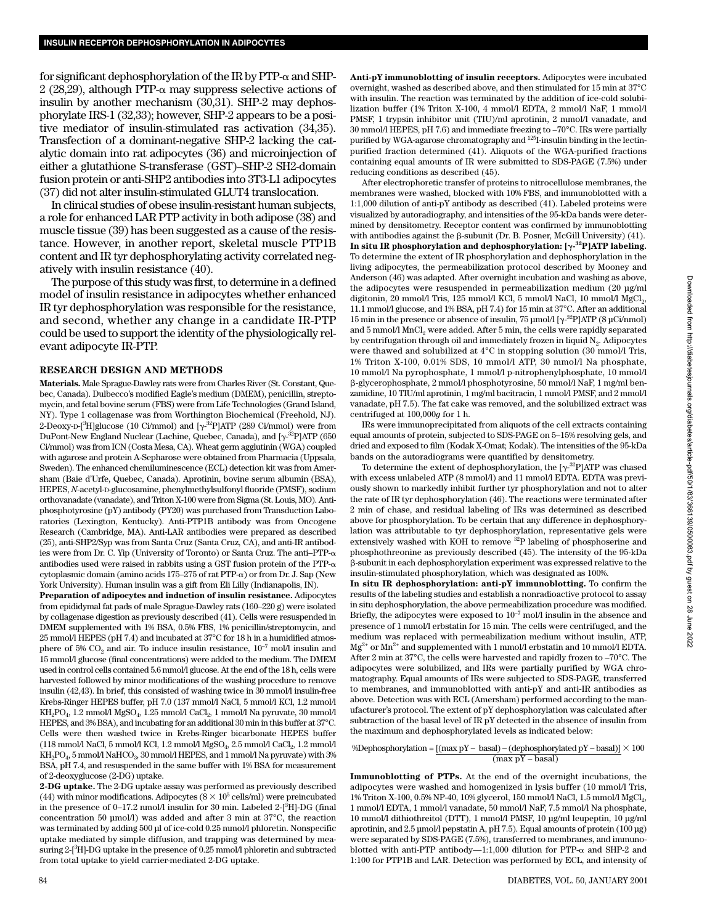for significant dephosphorylation of the IR by  $PTP$ - $\alpha$  and SHP- $2(28,29)$ , although PTP- $\alpha$  may suppress selective actions of insulin by another mechanism (30,31). SHP-2 may dephosphorylate IRS-1 (32,33); however, SHP-2 appears to be a positive mediator of insulin-stimulated ras activation (34,35). Transfection of a dominant-negative SHP-2 lacking the catalytic domain into rat adipocytes (36) and microinjection of either a glutathione S-transferase (GST)–SHP-2 SH2-domain fusion protein or anti-SHP2 antibodies into 3T3-L1 adipocytes (37) did not alter insulin-stimulated GLUT4 translocation.

In clinical studies of obese insulin-resistant human subjects, a role for enhanced LAR PTP activity in both adipose (38) and muscle tissue (39) has been suggested as a cause of the resistance. However, in another report, skeletal muscle PTP1B content and IR tyr dephosphorylating activity correlated negatively with insulin resistance (40).

The purpose of this study was first, to determine in a defined model of insulin resistance in adipocytes whether enhanced IR tyr dephosphorylation was responsible for the resistance, and second, whether any change in a candidate IR-PTP could be used to support the identity of the physiologically relevant adipocyte IR-PTP.

## **RESEARCH DESIGN AND METHODS**

**Materials.** Male Sprague-Dawley rats were from Charles River (St. Constant, Quebec, Canada). Dulbecco's modified Eagle's medium (DMEM), penicillin, streptomycin, and fetal bovine serum (FBS) were from Life Technologies (Grand Island, NY). Type 1 collagenase was from Worthington Biochemical (Freehold, NJ). 2-Deoxy-D-[<sup>3</sup>H]glucose (10 Ci/mmol) and [ $\gamma$ -<sup>32</sup>P]ATP (289 Ci/mmol) were from DuPont-New England Nuclear (Lachine, Quebec, Canada), and [ $\gamma^{.32}$ P]ATP (650 Ci/mmol) was from ICN (Costa Mesa, CA). Wheat germ agglutinin (WGA) coupled with agarose and protein A-Sepharose were obtained from Pharmacia (Uppsala, Sweden). The enhanced chemiluminescence (ECL) detection kit was from Amersham (Baie d'Urfe, Quebec, Canada). Aprotinin, bovine serum albumin (BSA), HEPES, *N*-acetyl-D-glucosamine, phenylmethylsulfonyl fluoride (PMSF), sodium orthovanadate (vanadate), and Triton X-100 were from Sigma (St. Louis, MO). Antiphosphotyrosine (pY) antibody (PY20) was purchased from Transduction Laboratories (Lexington, Kentucky). Anti-PTP1B antibody was from Oncogene Research (Cambridge, MA). Anti-LAR antibodies were prepared as described (25), anti-SHP2/Syp was from Santa Cruz (Santa Cruz, CA), and anti-IR antibodies were from Dr. C. Yip (University of Toronto) or Santa Cruz. The anti–PTP- $\alpha$ antibodies used were raised in rabbits using a GST fusion protein of the PTP- $\alpha$ cytoplasmic domain (amino acids  $175-275$  of rat  $PTP-\alpha$ ) or from Dr. J. Sap (New York University). Human insulin was a gift from Eli Lilly (Indianapolis, IN).

**Preparation of adipocytes and induction of insulin resistance.** Adipocytes from epididymal fat pads of male Sprague-Dawley rats (160–220 g) were isolated by collagenase digestion as previously described (41). Cells were resuspended in DMEM supplemented with 1% BSA, 0.5% FBS, 1% penicillin/streptomycin, and 25 mmol/l HEPES (pH 7.4) and incubated at 37°C for 18 h in a humidified atmosphere of 5%  $CO_2$  and air. To induce insulin resistance,  $10^{-7}$  mol/l insulin and 15 mmol/l glucose (final concentrations) were added to the medium. The DMEM used in control cells contained 5.6 mmol/l glucose. At the end of the 18 h, cells were harvested followed by minor modifications of the washing procedure to remove insulin (42,43). In brief, this consisted of washing twice in 30 mmol/l insulin-free Krebs-Ringer HEPES buffer, pH 7.0 (137 mmol/l NaCl, 5 mmol/l KCl, 1.2 mmol/l  $\text{KH}_{2}\text{PO}_{4}$ 1.2 mmol/l $\text{MgSO}_{4},$ 1.25 mmol/l $\text{CaCl}_{2},$ 1 mmol/l $\text{Na}$  pyruvate, 30 mmol/l HEPES, and 3% BSA), and incubating for an additional 30 min in this buffer at 37°C. Cells were then washed twice in Krebs-Ringer bicarbonate HEPES buffer (118 mmol/l NaCl, 5 mmol/l KCl, 1.2 mmol/l  $MgSO_4$ , 2.5 mmol/l CaCl<sub>2</sub>, 1.2 mmol/l  $KH<sub>2</sub>PO<sub>4</sub>$ , 5 mmol/l NaHCO<sub>3</sub>, 30 mmol/l HEPES, and 1 mmol/l Na pyruvate) with 3% BSA, pH 7.4, and resuspended in the same buffer with 1% BSA for measurement of 2-deoxyglucose (2-DG) uptake.

**2-DG uptake.** The 2-DG uptake assay was performed as previously described (44) with minor modifications. Adipocytes  $(8 \times 10^5 \text{ cells/ml})$  were preincubated in the presence of 0–17.2 nmol/l insulin for 30 min. Labeled 2-[<sup>3</sup>H]-DG (final concentration 50 µmol/l) was added and after 3 min at 37°C, the reaction was terminated by adding 500 µl of ice-cold 0.25 mmol/l phloretin. Nonspecific uptake mediated by simple diffusion, and trapping was determined by measuring 2-[<sup>3</sup>H]-DG uptake in the presence of 0.25 mmol/l phloretin and subtracted from total uptake to yield carrier-mediated 2-DG uptake.

**Anti-pY immunoblotting of insulin receptors.** Adipocytes were incubated overnight, washed as described above, and then stimulated for 15 min at 37°C with insulin. The reaction was terminated by the addition of ice-cold solubilization buffer (1% Triton X-100, 4 mmol/l EDTA, 2 mmol/l NaF, 1 mmol/l PMSF, 1 trypsin inhibitor unit (TIU)/ml aprotinin, 2 mmol/l vanadate, and 30 mmol/l HEPES, pH 7.6) and immediate freezing to –70°C. IRs were partially purified by WGA-agarose chromatography and <sup>125</sup>I-insulin binding in the lectinpurified fraction determined (41). Aliquots of the WGA-purified fractions containing equal amounts of IR were submitted to SDS-PAGE (7.5%) under reducing conditions as described (45).

After electrophoretic transfer of proteins to nitrocellulose membranes, the membranes were washed, blocked with 10% FBS, and immunoblotted with a 1:1,000 dilution of anti-pY antibody as described (41). Labeled proteins were visualized by autoradiography, and intensities of the 95-kDa bands were determined by densitometry. Receptor content was confirmed by immunoblotting with antibodies against the  $\beta$ -subunit (Dr. B. Posner, McGill University) (41). **In situ IR phosphorylation and dephosphorylation: [- 32P]ATP labeling.** To determine the extent of IR phosphorylation and dephosphorylation in the living adipocytes, the permeabilization protocol described by Mooney and Anderson (46) was adapted. After overnight incubation and washing as above, the adipocytes were resuspended in permeabilization medium (20 µg/ml digitonin, 20 mmol/l Tris, 125 mmol/l KCl, 5 mmol/l NaCl, 10 mmol/l MgCl<sub>2</sub>, 11.1 mmol/l glucose, and 1% BSA, pH 7.4) for 15 min at 37°C. After an additional 15 min in the presence or absence of insulin, 75  $\mu$ mol/l [ $\gamma$ <sup>-32</sup>P]ATP (8  $\mu$ Ci/nmol) and  $5 \text{ mmol/l}$  MnCl<sub>2</sub> were added. After  $5 \text{ min}$ , the cells were rapidly separated by centrifugation through oil and immediately frozen in liquid  $N<sub>2</sub>$ . Adipocytes were thawed and solubilized at 4°C in stopping solution (30 mmol/l Tris, 1% Triton X-100, 0.01% SDS, 10 mmol/l ATP, 30 mmol/l Na phosphate, 10 mmol/l Na pyrophosphate, 1 mmol/l p-nitrophenylphosphate, 10 mmol/l -glycerophosphate, 2 mmol/l phosphotyrosine, 50 mmol/l NaF, 1 mg/ml benzamidine, 10 TIU/ml aprotinin, 1 mg/ml bacitracin, 1 mmol/l PMSF, and 2 mmol/l vanadate, pH 7.5). The fat cake was removed, and the solubilized extract was centrifuged at 100,000*g* for 1 h.

IRs were immunoprecipitated from aliquots of the cell extracts containing equal amounts of protein, subjected to SDS-PAGE on 5–15% resolving gels, and dried and exposed to film (Kodak X-Omat; Kodak). The intensities of the 95-kDa bands on the autoradiograms were quantified by densitometry.

To determine the extent of dephosphorylation, the  $[\gamma^{32}P]ATP$  was chased with excess unlabeled ATP (8 mmol/l) and 11 mmol/l EDTA. EDTA was previously shown to markedly inhibit further tyr phosphorylation and not to alter the rate of IR tyr dephosphorylation (46). The reactions were terminated after 2 min of chase, and residual labeling of IRs was determined as described above for phosphorylation. To be certain that any difference in dephosphorylation was attributable to tyr dephosphorylation, representative gels were extensively washed with KOH to remove <sup>32</sup>P labeling of phosphoserine and phosphothreonine as previously described (45). The intensity of the 95-kDa -subunit in each dephosphorylation experiment was expressed relative to the insulin-stimulated phosphorylation, which was designated as 100%.

**In situ IR dephosphorylation: anti-pY immunoblotting.** To confirm the results of the labeling studies and establish a nonradioactive protocol to assay in situ dephosphorylation, the above permeabilization procedure was modified. Briefly, the adipocytes were exposed to  $10^{-7}$  mol/l insulin in the absence and presence of 1 mmol/l erbstatin for 15 min. The cells were centrifuged, and the medium was replaced with permeabilization medium without insulin, ATP,  $Mg^{2+}$  or  $Mn^{2+}$  and supplemented with 1 mmol/l erbstatin and 10 mmol/l EDTA. After 2 min at 37°C, the cells were harvested and rapidly frozen to –70°C. The adipocytes were solubilized, and IRs were partially purified by WGA chromatography. Equal amounts of IRs were subjected to SDS-PAGE, transferred to membranes, and immunoblotted with anti-pY and anti-IR antibodies as above. Detection was with ECL (Amersham) performed according to the manufacturer's protocol. The extent of pY dephosphorylation was calculated after subtraction of the basal level of IR pY detected in the absence of insulin from the maximum and dephosphorylated levels as indicated below:

## %Dephosphorylation =  $[(max pY - basal) - (dephosphorylated pY - basal)] \times 100$ (max pY – basal)

**Immunoblotting of PTPs.** At the end of the overnight incubations, the adipocytes were washed and homogenized in lysis buffer (10 mmol/l Tris, 1% Triton X-100, 0.5% NP-40, 10% glycerol, 150 mmol/l NaCl, 1.5 mmol/l MgCl<sub>2</sub>, 1 mmol/l EDTA, 1 mmol/l vanadate, 50 mmol/l NaF, 7.5 mmol/l Na phosphate, 10 mmol/l dithiothreitol (DTT), 1 mmol/l PMSF, 10 µg/ml leupeptin, 10 µg/ml aprotinin, and 2.5 µmol/l pepstatin A, pH 7.5). Equal amounts of protein (100 µg) were separated by SDS-PAGE (7.5%), transferred to membranes, and immunoblotted with anti-PTP antibody— $1:1,000$  dilution for PTP- $\alpha$  and SHP-2 and 1:100 for PTP1B and LAR. Detection was performed by ECL, and intensity of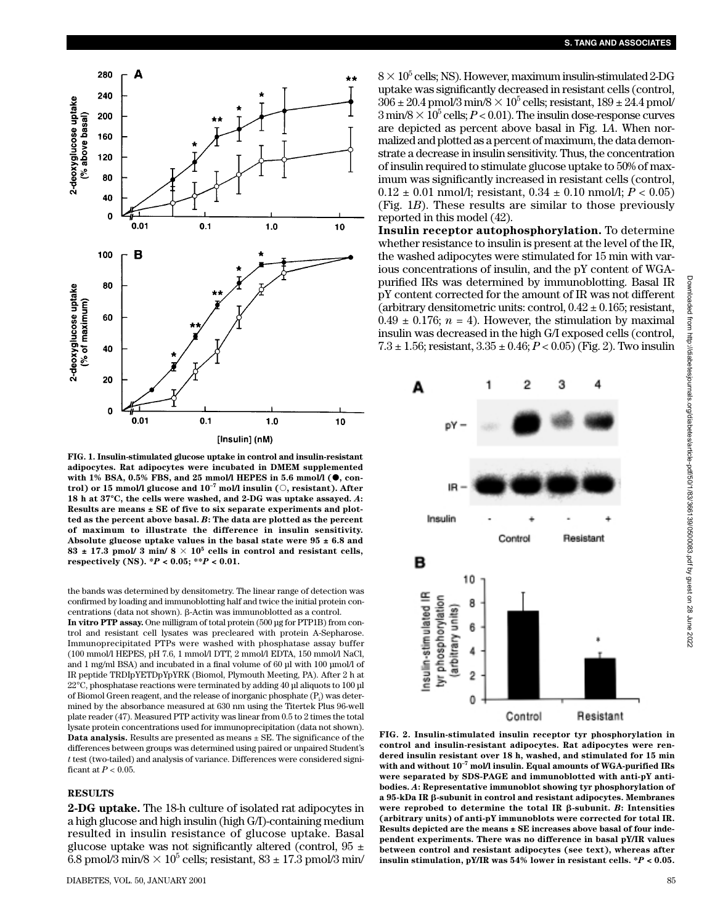

**FIG. 1. Insulin-stimulated glucose uptake in control and insulin-resistant adipocytes. Rat adipocytes were incubated in DMEM supplemented** with 1% BSA, 0.5% FBS, and 25 mmol/l HEPES in 5.6 mmol/l ( $\bullet$ , con**trol) or 15 mmol/l glucose and 10–7 mol/l insulin (, resistant). After 18 h at 37°C, the cells were washed, and 2-DG was uptake assayed.** *A***: Results are means ± SE of five to six separate experiments and plotted as the percent above basal.** *B***: The data are plotted as the percent of maximum to illustrate the difference in insulin sensitivity. Absolute glucose uptake values in the basal state were 95 ± 6.8 and**  $83 \pm 17.3$  pmol/ 3 min/  $8 \times 10^5$  cells in control and resistant cells, **respectively (NS). \****P* **< 0.05; \*\****P* **< 0.01.**

the bands was determined by densitometry. The linear range of detection was confirmed by loading and immunoblotting half and twice the initial protein concentrations (data not shown).  $\beta$ -Actin was immunoblotted as a control.

**In vitro PTP assay.** One milligram of total protein (500 µg for PTP1B) from control and resistant cell lysates was precleared with protein A-Sepharose. Immunoprecipitated PTPs were washed with phosphatase assay buffer (100 mmol/l HEPES, pH 7.6, 1 mmol/l DTT, 2 mmol/l EDTA, 150 mmol/l NaCl, and 1 mg/ml BSA) and incubated in a final volume of 60 µl with 100 µmol/l of IR peptide TRDIpYETDpYpYRK (Biomol, Plymouth Meeting, PA). After 2 h at 22°C, phosphatase reactions were terminated by adding 40 µl aliquots to 100 µl of Biomol Green reagent, and the release of inorganic phosphate  $(P_i)$  was determined by the absorbance measured at 630 nm using the Titertek Plus 96-well plate reader (47). Measured PTP activity was linear from 0.5 to 2 times the total lysate protein concentrations used for immunoprecipitation (data not shown). **Data analysis.** Results are presented as means ± SE. The significance of the differences between groups was determined using paired or unpaired Student's *t* test (two-tailed) and analysis of variance. Differences were considered significant at *P* < 0.05.

# **RESULTS**

**2-DG uptake.** The 18-h culture of isolated rat adipocytes in a high glucose and high insulin (high G/I)-containing medium resulted in insulin resistance of glucose uptake. Basal glucose uptake was not significantly altered (control,  $95 \pm$ 6.8 pmol/3 min/8  $\times$  10<sup>5</sup> cells; resistant, 83  $\pm$  17.3 pmol/3 min/  $8 \times 10^5$  cells; NS). However, maximum insulin-stimulated 2-DG uptake was significantly decreased in resistant cells (control,  $306 \pm 20.4$  pmol/3 min/8  $\times$  10<sup>5</sup> cells; resistant, 189  $\pm$  24.4 pmol/  $3 \text{ min/8} \times 10^5 \text{ cells}; P < 0.01$ ). The insulin dose-response curves are depicted as percent above basal in Fig. 1*A*. When normalized and plotted as a percent of maximum, the data demonstrate a decrease in insulin sensitivity. Thus, the concentration of insulin required to stimulate glucose uptake to 50% of maximum was significantly increased in resistant cells (control,  $0.12 \pm 0.01$  nmol/l; resistant,  $0.34 \pm 0.10$  nmol/l;  $P < 0.05$ ) (Fig. 1*B*). These results are similar to those previously reported in this model (42).

**Insulin receptor autophosphorylation.** To determine whether resistance to insulin is present at the level of the IR, the washed adipocytes were stimulated for 15 min with various concentrations of insulin, and the pY content of WGApurified IRs was determined by immunoblotting. Basal IR pY content corrected for the amount of IR was not different (arbitrary densitometric units: control,  $0.42 \pm 0.165$ ; resistant,  $0.49 \pm 0.176$ ;  $n = 4$ ). However, the stimulation by maximal insulin was decreased in the high G/I exposed cells (control, 7.3  $\pm$  1.56; resistant,  $3.35 \pm 0.46$ ;  $P < 0.05$ ) (Fig. 2). Two insulin



**FIG. 2. Insulin-stimulated insulin receptor tyr phosphorylation in control and insulin-resistant adipocytes. Rat adipocytes were rendered insulin resistant over 18 h, washed, and stimulated for 15 min with and without 10–7 mol/l insulin. Equal amounts of WGA-purified IRs were separated by SDS-PAGE and immunoblotted with anti-pY antibodies.** *A***: Representative immunoblot showing tyr phosphorylation of a 95-kDa IR -subunit in control and resistant adipocytes. Membranes** were reprobed to determine the total IR  $\beta$ -subunit.  $B$ : Intensities **(arbitrary units) of anti-pY immunoblots were corrected for total IR. Results depicted are the means ± SE increases above basal of four independent experiments. There was no difference in basal pY/IR values between control and resistant adipocytes (see text), whereas after insulin stimulation, pY/IR was 54% lower in resistant cells. \****P* **< 0.05.**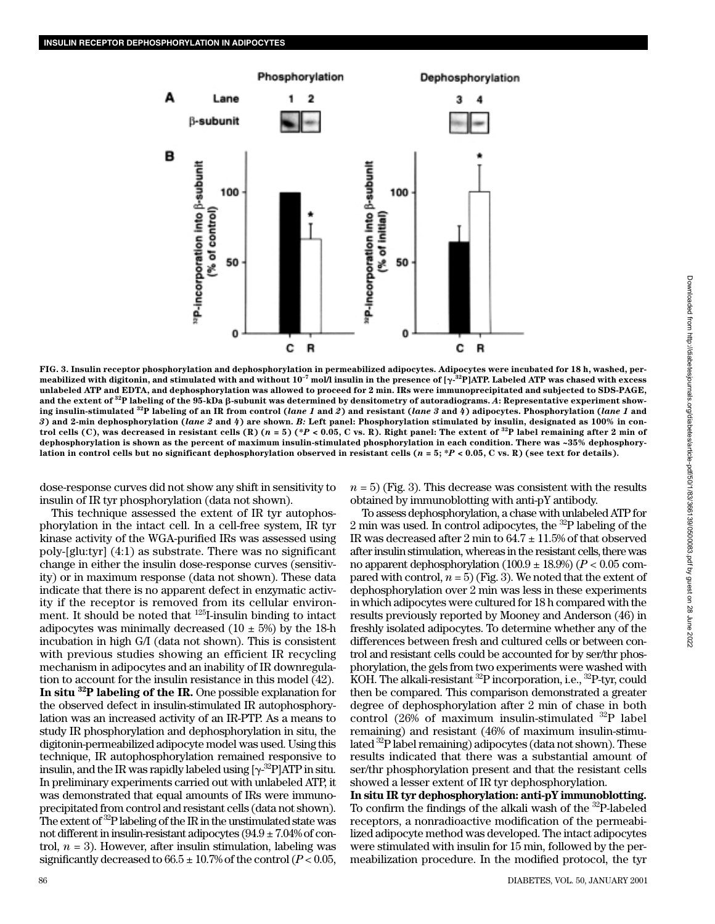

**FIG. 3. Insulin receptor phosphorylation and dephosphorylation in permeabilized adipocytes. Adipocytes were incubated for 18 h, washed, per**meabilized with digitonin, and stimulated with and without  $10^{-7}$  mol/l insulin in the presence of [ $\gamma$ - $^{32}$ P]ATP. Labeled ATP was chased with excess **unlabeled ATP and EDTA, and dephosphorylation was allowed to proceed for 2 min. IRs were immunoprecipitated and subjected to SDS-PAGE, and the extent of 32P labeling of the 95-kDa -subunit was determined by densitometry of autoradiograms.** *A***: Representative experiment show**ing insulin-stimulated <sup>32</sup>P labeling of an IR from control (lane 1 and 2) and resistant (lane 3 and 4) adipocytes. Phosphorylation (lane 1 and *3***) and 2-min dephosphorylation (***lane 2* **and** *4***) are shown.** *B:* **Left panel: Phosphorylation stimulated by insulin, designated as 100% in control cells (C), was decreased in resistant cells (R)**  $(n = 5)$  **(\****P* $\lt 0.05$ **, C vs. R). Right panel: The extent of <sup>32</sup>P label remaining after 2 min of dephosphorylation is shown as the percent of maximum insulin-stimulated phosphorylation in each condition. There was ~35% dephosphorylation in control cells but no significant dephosphorylation observed in resistant cells (** $n = 5$ **;**  $P < 0.05$ **, C vs. R) (see text for details).** 

dose-response curves did not show any shift in sensitivity to insulin of IR tyr phosphorylation (data not shown).

This technique assessed the extent of IR tyr autophosphorylation in the intact cell. In a cell-free system, IR tyr kinase activity of the WGA-purified IRs was assessed using poly-[glu:tyr] (4:1) as substrate. There was no significant change in either the insulin dose-response curves (sensitivity) or in maximum response (data not shown). These data indicate that there is no apparent defect in enzymatic activity if the receptor is removed from its cellular environment. It should be noted that 125I-insulin binding to intact adipocytes was minimally decreased  $(10 \pm 5\%)$  by the 18-h incubation in high G/I (data not shown). This is consistent with previous studies showing an efficient IR recycling mechanism in adipocytes and an inability of IR downregulation to account for the insulin resistance in this model (42). **In situ 32P labeling of the IR.** One possible explanation for the observed defect in insulin-stimulated IR autophosphorylation was an increased activity of an IR-PTP. As a means to study IR phosphorylation and dephosphorylation in situ, the digitonin-permeabilized adipocyte model was used. Using this technique, IR autophosphorylation remained responsive to insulin, and the IR was rapidly labeled using  $[\gamma^{.32}P]$ ATP in situ. In preliminary experiments carried out with unlabeled ATP, it was demonstrated that equal amounts of IRs were immunoprecipitated from control and resistant cells (data not shown). The extent of  ${}^{32}P$  labeling of the IR in the unstimulated state was not different in insulin-resistant adipocytes  $(94.9 \pm 7.04\%$  of control,  $n = 3$ ). However, after insulin stimulation, labeling was significantly decreased to  $66.5 \pm 10.7\%$  of the control ( $P < 0.05$ ,

 $n = 5$ ) (Fig. 3). This decrease was consistent with the results obtained by immunoblotting with anti-pY antibody.

To assess dephosphorylation, a chase with unlabeled ATP for 2 min was used. In control adipocytes, the  $^{32}P$  labeling of the IR was decreased after 2 min to  $64.7 \pm 11.5\%$  of that observed after insulin stimulation, whereas in the resistant cells, there was no apparent dephosphorylation  $(100.9 \pm 18.9%) (P < 0.05$  compared with control,  $n = 5$ ) (Fig. 3). We noted that the extent of dephosphorylation over 2 min was less in these experiments in which adipocytes were cultured for 18 h compared with the results previously reported by Mooney and Anderson (46) in freshly isolated adipocytes. To determine whether any of the differences between fresh and cultured cells or between control and resistant cells could be accounted for by ser/thr phosphorylation, the gels from two experiments were washed with KOH. The alkali-resistant  ${}^{32}P$  incorporation, i.e.,  ${}^{32}P$ -tyr, could then be compared. This comparison demonstrated a greater degree of dephosphorylation after 2 min of chase in both control (26% of maximum insulin-stimulated  $^{32}P$  label remaining) and resistant (46% of maximum insulin-stimulated 32P label remaining) adipocytes (data not shown). These results indicated that there was a substantial amount of ser/thr phosphorylation present and that the resistant cells showed a lesser extent of IR tyr dephosphorylation.

**In situ IR tyr dephosphorylation: anti-pY immunoblotting.** To confirm the findings of the alkali wash of the <sup>32</sup>P-labeled receptors, a nonradioactive modification of the permeabilized adipocyte method was developed. The intact adipocytes were stimulated with insulin for 15 min, followed by the permeabilization procedure. In the modified protocol, the tyr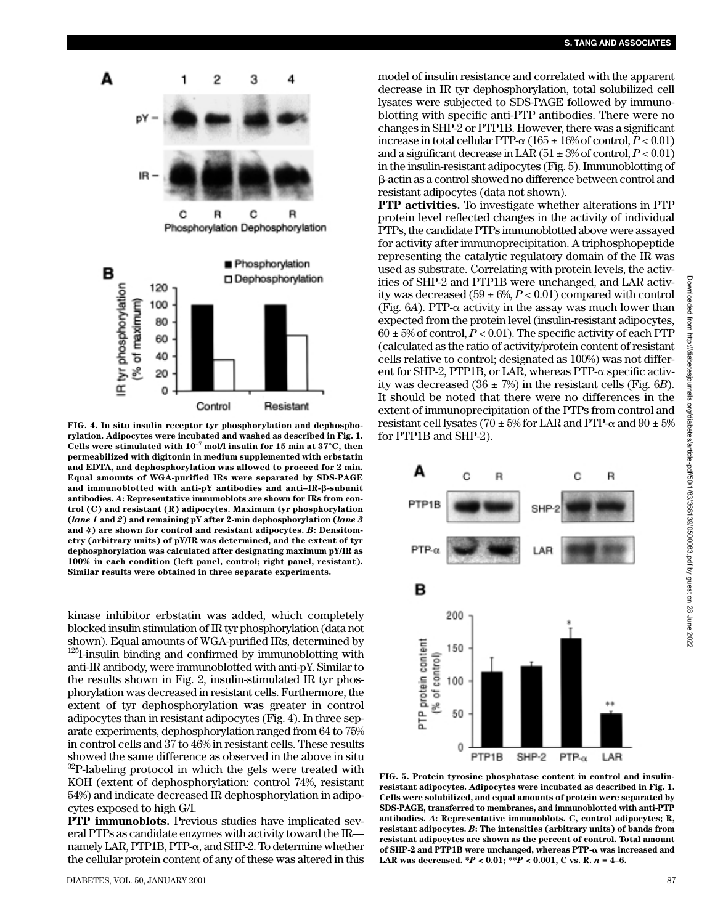

**FIG. 4. In situ insulin receptor tyr phosphorylation and dephosphorylation. Adipocytes were incubated and washed as described in Fig. 1. Cells were stimulated with 10–7 mol/l insulin for 15 min at 37°C, then permeabilized with digitonin in medium supplemented with erbstatin and EDTA, and dephosphorylation was allowed to proceed for 2 min. Equal amounts of WGA-purified IRs were separated by SDS-PAGE and immunoblotted with anti-pY antibodies and anti–IR--subunit antibodies.** *A***: Representative immunoblots are shown for IRs from control (C) and resistant (R) adipocytes. Maximum tyr phosphorylation (***lane 1* **and** *2***) and remaining pY after 2-min dephosphorylation (***lane 3* **and** *4***) are shown for control and resistant adipocytes.** *B***: Densitometry (arbitrary units) of pY/IR was determined, and the extent of tyr dephosphorylation was calculated after designating maximum pY/IR as 100% in each condition (left panel, control; right panel, resistant). Similar results were obtained in three separate experiments.**

kinase inhibitor erbstatin was added, which completely blocked insulin stimulation of IR tyr phosphorylation (data not shown). Equal amounts of WGA-purified IRs, determined by  $125$ I-insulin binding and confirmed by immunoblotting with anti-IR antibody, were immunoblotted with anti-pY. Similar to the results shown in Fig. 2, insulin-stimulated IR tyr phosphorylation was decreased in resistant cells. Furthermore, the extent of tyr dephosphorylation was greater in control adipocytes than in resistant adipocytes (Fig. 4). In three separate experiments, dephosphorylation ranged from 64 to 75% in control cells and 37 to 46% in resistant cells. These results showed the same difference as observed in the above in situ 32P-labeling protocol in which the gels were treated with KOH (extent of dephosphorylation: control 74%, resistant 54%) and indicate decreased IR dephosphorylation in adipocytes exposed to high G/I.

**PTP immunoblots.** Previous studies have implicated several PTPs as candidate enzymes with activity toward the IR namely LAR, PTP1B, PTP- $\alpha$ , and SHP-2. To determine whether the cellular protein content of any of these was altered in this model of insulin resistance and correlated with the apparent decrease in IR tyr dephosphorylation, total solubilized cell lysates were subjected to SDS-PAGE followed by immunoblotting with specific anti-PTP antibodies. There were no changes in SHP-2 or PTP1B. However, there was a significant increase in total cellular PTP- $\alpha$  (165  $\pm$  16% of control,  $P < 0.01$ ) and a significant decrease in LAR  $(51 \pm 3\% \text{ of control}, P < 0.01)$ in the insulin-resistant adipocytes (Fig. 5). Immunoblotting of -actin as a control showed no difference between control and resistant adipocytes (data not shown).

**PTP activities.** To investigate whether alterations in PTP protein level reflected changes in the activity of individual PTPs, the candidate PTPs immunoblotted above were assayed for activity after immunoprecipitation. A triphosphopeptide representing the catalytic regulatory domain of the IR was used as substrate. Correlating with protein levels, the activities of SHP-2 and PTP1B were unchanged, and LAR activity was decreased  $(59 \pm 6\%, P < 0.01)$  compared with control (Fig.  $6A$ ). PTP- $\alpha$  activity in the assay was much lower than expected from the protein level (insulin-resistant adipocytes,  $60 \pm 5\%$  of control,  $P < 0.01$ ). The specific activity of each PTP (calculated as the ratio of activity/protein content of resistant cells relative to control; designated as 100%) was not different for SHP-2, PTP1B, or LAR, whereas PTP- $\alpha$  specific activity was decreased  $(36 \pm 7\%)$  in the resistant cells (Fig. 6*B*). It should be noted that there were no differences in the extent of immunoprecipitation of the PTPs from control and resistant cell lysates (70  $\pm$  5% for LAR and PTP- $\alpha$  and 90  $\pm$  5% for PTP1B and SHP-2).



**FIG. 5. Protein tyrosine phosphatase content in control and insulinresistant adipocytes. Adipocytes were incubated as described in Fig. 1. Cells were solubilized, and equal amounts of protein were separated by SDS-PAGE, transferred to membranes, and immunoblotted with anti-PTP antibodies.** *A***: Representative immunoblots. C, control adipocytes; R, resistant adipocytes.** *B***: The intensities (arbitrary units) of bands from resistant adipocytes are shown as the percent of control. Total amount of SHP-2 and PTP1B were unchanged, whereas PTP- was increased and LAR was decreased. \****P* **< 0.01; \*\****P* **< 0.001, C vs. R.** *n* **= 4–6.**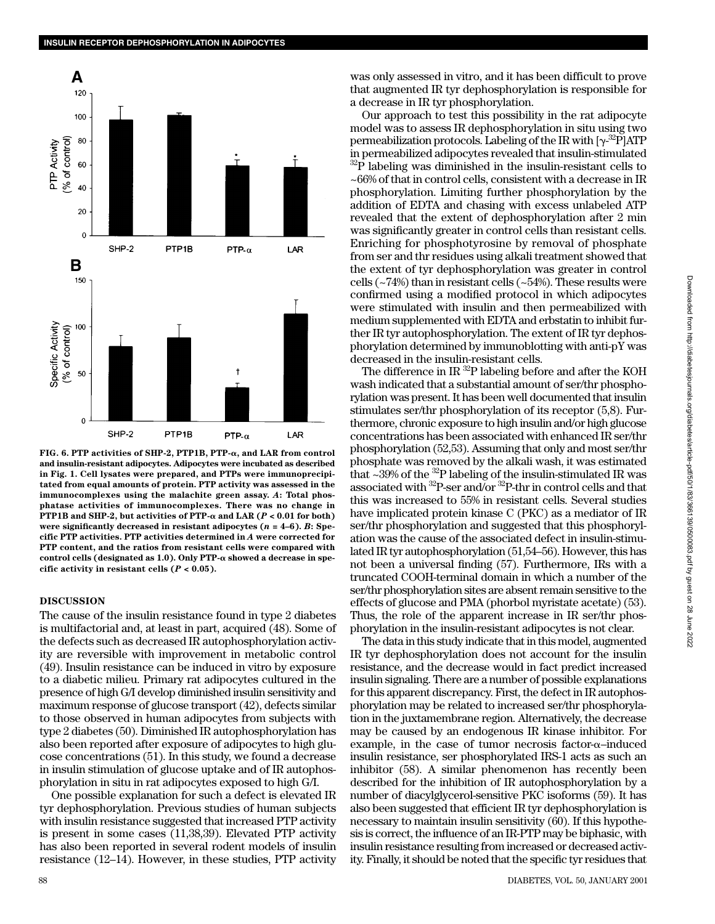

**FIG. 6. PTP activities of SHP-2, PTP1B, PTP-, and LAR from control and insulin-resistant adipocytes. Adipocytes were incubated as described in Fig. 1. Cell lysates were prepared, and PTPs were immunoprecipitated from equal amounts of protein. PTP activity was assessed in the immunocomplexes using the malachite green assay.** *A***: Total phosphatase activities of immunocomplexes. There was no change in PTP1B and SHP-2, but activities of PTP-** $\alpha$  **and LAR (** $P < 0.01$  **for both) were significantly decreased in resistant adipocytes (***n* **= 4–6).** *B***: Specific PTP activities. PTP activities determined in** *A* **were corrected for PTP content, and the ratios from resistant cells were compared with control cells (designated as 1.0). Only PTP- showed a decrease in specific activity in resistant cells (***P* **< 0.05).**

### **DISCUSSION**

The cause of the insulin resistance found in type 2 diabetes is multifactorial and, at least in part, acquired (48). Some of the defects such as decreased IR autophosphorylation activity are reversible with improvement in metabolic control (49). Insulin resistance can be induced in vitro by exposure to a diabetic milieu. Primary rat adipocytes cultured in the presence of high G/I develop diminished insulin sensitivity and maximum response of glucose transport (42), defects similar to those observed in human adipocytes from subjects with type 2 diabetes (50). Diminished IR autophosphorylation has also been reported after exposure of adipocytes to high glucose concentrations (51). In this study, we found a decrease in insulin stimulation of glucose uptake and of IR autophosphorylation in situ in rat adipocytes exposed to high G/I.

One possible explanation for such a defect is elevated IR tyr dephosphorylation. Previous studies of human subjects with insulin resistance suggested that increased PTP activity is present in some cases (11,38,39). Elevated PTP activity has also been reported in several rodent models of insulin resistance (12–14). However, in these studies, PTP activity

was only assessed in vitro, and it has been difficult to prove that augmented IR tyr dephosphorylation is responsible for a decrease in IR tyr phosphorylation.

Our approach to test this possibility in the rat adipocyte model was to assess IR dephosphorylation in situ using two permeabilization protocols. Labeling of the IR with  $[\gamma^{.32}\rm{P}] \rm{ATP}$ in permeabilized adipocytes revealed that insulin-stimulated  $32\overline{P}$  labeling was diminished in the insulin-resistant cells to ~66% of that in control cells, consistent with a decrease in IR phosphorylation. Limiting further phosphorylation by the addition of EDTA and chasing with excess unlabeled ATP revealed that the extent of dephosphorylation after 2 min was significantly greater in control cells than resistant cells. Enriching for phosphotyrosine by removal of phosphate from ser and thr residues using alkali treatment showed that the extent of tyr dephosphorylation was greater in control cells  $(-74%)$  than in resistant cells  $(-54%)$ . These results were confirmed using a modified protocol in which adipocytes were stimulated with insulin and then permeabilized with medium supplemented with EDTA and erbstatin to inhibit further IR tyr autophosphorylation. The extent of IR tyr dephosphorylation determined by immunoblotting with anti-pY was decreased in the insulin-resistant cells.

The difference in IR  $^{32}P$  labeling before and after the KOH wash indicated that a substantial amount of ser/thr phosphorylation was present. It has been well documented that insulin stimulates ser/thr phosphorylation of its receptor (5,8). Furthermore, chronic exposure to high insulin and/or high glucose concentrations has been associated with enhanced IR ser/thr phosphorylation (52,53). Assuming that only and most ser/thr phosphate was removed by the alkali wash, it was estimated that  $\sim$ 39% of the <sup>32</sup>P labeling of the insulin-stimulated IR was associated with  $^{32}$ P-ser and/or  $^{32}$ P-thr in control cells and that this was increased to 55% in resistant cells. Several studies have implicated protein kinase C (PKC) as a mediator of IR ser/thr phosphorylation and suggested that this phosphorylation was the cause of the associated defect in insulin-stimulated IR tyr autophosphorylation (51,54–56). However, this has not been a universal finding (57). Furthermore, IRs with a truncated COOH-terminal domain in which a number of the ser/thr phosphorylation sites are absent remain sensitive to the effects of glucose and PMA (phorbol myristate acetate) (53). Thus, the role of the apparent increase in IR ser/thr phosphorylation in the insulin-resistant adipocytes is not clear.

The data in this study indicate that in this model, augmented IR tyr dephosphorylation does not account for the insulin resistance, and the decrease would in fact predict increased insulin signaling. There are a number of possible explanations for this apparent discrepancy. First, the defect in IR autophosphorylation may be related to increased ser/thr phosphorylation in the juxtamembrane region. Alternatively, the decrease may be caused by an endogenous IR kinase inhibitor. For example, in the case of tumor necrosis factor- $\alpha$ -induced insulin resistance, ser phosphorylated IRS-1 acts as such an inhibitor (58). A similar phenomenon has recently been described for the inhibition of IR autophosphorylation by a number of diacylglycerol-sensitive PKC isoforms (59). It has also been suggested that efficient IR tyr dephosphorylation is necessary to maintain insulin sensitivity (60). If this hypothesis is correct, the influence of an IR-PTP may be biphasic, with insulin resistance resulting from increased or decreased activity. Finally, it should be noted that the specific tyr residues that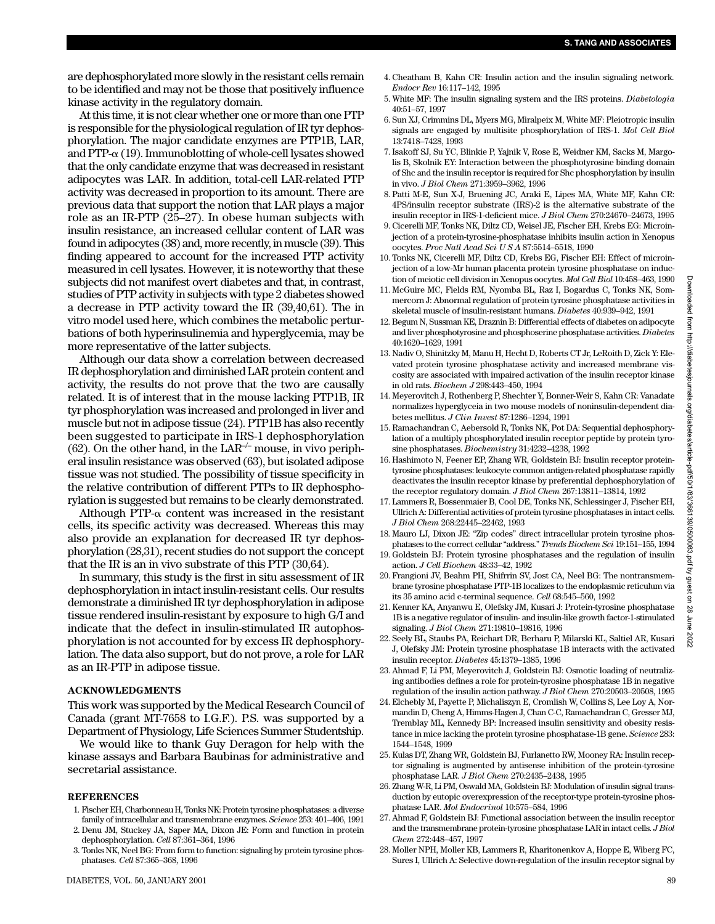are dephosphorylated more slowly in the resistant cells remain to be identified and may not be those that positively influence kinase activity in the regulatory domain.

At this time, it is not clear whether one or more than one PTP is responsible for the physiological regulation of IR tyr dephosphorylation. The major candidate enzymes are PTP1B, LAR, and  $PTP-\alpha$  (19). Immunoblotting of whole-cell lysates showed that the only candidate enzyme that was decreased in resistant adipocytes was LAR. In addition, total-cell LAR-related PTP activity was decreased in proportion to its amount. There are previous data that support the notion that LAR plays a major role as an IR-PTP (25–27). In obese human subjects with insulin resistance, an increased cellular content of LAR was found in adipocytes (38) and, more recently, in muscle (39). This finding appeared to account for the increased PTP activity measured in cell lysates. However, it is noteworthy that these subjects did not manifest overt diabetes and that, in contrast, studies of PTP activity in subjects with type 2 diabetes showed a decrease in PTP activity toward the IR (39,40,61). The in vitro model used here, which combines the metabolic perturbations of both hyperinsulinemia and hyperglycemia, may be more representative of the latter subjects.

Although our data show a correlation between decreased IR dephosphorylation and diminished LAR protein content and activity, the results do not prove that the two are causally related. It is of interest that in the mouse lacking PTP1B, IR tyr phosphorylation was increased and prolonged in liver and muscle but not in adipose tissue (24). PTP1B has also recently been suggested to participate in IRS-1 dephosphorylation (62). On the other hand, in the LAR<sup>-/-</sup> mouse, in vivo peripheral insulin resistance was observed (63), but isolated adipose tissue was not studied. The possibility of tissue specificity in the relative contribution of different PTPs to IR dephosphorylation is suggested but remains to be clearly demonstrated.

Although PTP- $\alpha$  content was increased in the resistant cells, its specific activity was decreased. Whereas this may also provide an explanation for decreased IR tyr dephosphorylation (28,31), recent studies do not support the concept that the IR is an in vivo substrate of this PTP (30,64).

In summary, this study is the first in situ assessment of IR dephosphorylation in intact insulin-resistant cells. Our results demonstrate a diminished IR tyr dephosphorylation in adipose tissue rendered insulin-resistant by exposure to high G/I and indicate that the defect in insulin-stimulated IR autophosphorylation is not accounted for by excess IR dephosphorylation. The data also support, but do not prove, a role for LAR as an IR-PTP in adipose tissue.

#### **ACKNOWLEDGMENTS**

This work was supported by the Medical Research Council of Canada (grant MT-7658 to I.G.F.). P.S. was supported by a Department of Physiology, Life Sciences Summer Studentship.

We would like to thank Guy Deragon for help with the kinase assays and Barbara Baubinas for administrative and secretarial assistance.

#### **REFERENCES**

- 1. Fischer EH, Charbonneau H, Tonks NK: Protein tyrosine phosphatases: a diverse family of intracellular and transmembrane enzymes. *Science* 253: 401–406, 1991
- 2. Denu JM, Stuckey JA, Saper MA, Dixon JE: Form and function in protein dephosphorylation. *Cell* 87:361–364, 1996
- 3. Tonks NK, Neel BG: From form to function: signaling by protein tyrosine phosphatases*. Cell* 87:365–368, 1996
- 4. Cheatham B, Kahn CR: Insulin action and the insulin signaling network*. Endocr Rev* 16:117–142, 1995
- 5. White MF: The insulin signaling system and the IRS proteins. *Diabetologia* 40:51–57, 1997
- 6. Sun XJ, Crimmins DL, Myers MG, Miralpeix M, White MF: Pleiotropic insulin signals are engaged by multisite phosphorylation of IRS-1. *Mol Cell Biol* 13:7418–7428, 1993
- 7. Isakoff SJ, Su YC, Blinkie P, Yajnik V, Rose E, Weidner KM, Sacks M, Margolis B, Skolnik EY: Interaction between the phosphotyrosine binding domain of Shc and the insulin receptor is required for Shc phosphorylation by insulin in vivo. *J Biol Chem* 271:3959–3962, 1996
- 8. Patti M-E, Sun X-J, Bruening JC, Araki E, Lipes MA, White MF, Kahn CR: 4PS/insulin receptor substrate (IRS)-2 is the alternative substrate of the insulin receptor in IRS-1-deficient mice. *J Biol Chem* 270:24670–24673, 1995
- 9. Cicerelli MF, Tonks NK, Diltz CD, Weisel JE, Fischer EH, Krebs EG: Microinjection of a protein-tyrosine-phosphatase inhibits insulin action in Xenopus oocytes. *Proc Natl Acad Sci U S A* 87:5514–5518, 1990
- 10. Tonks NK, Cicerelli MF, Diltz CD, Krebs EG, Fischer EH: Effect of microinjection of a low-Mr human placenta protein tyrosine phosphatase on induction of meiotic cell division in Xenopus oocytes. *Mol Cell Biol* 10:458–463, 1990
- 11. McGuire MC, Fields RM, Nyomba BL, Raz I, Bogardus C, Tonks NK, Sommercorn J: Abnormal regulation of protein tyrosine phosphatase activities in skeletal muscle of insulin-resistant humans. *Diabetes* 40:939–942, 1991
- 12. Begum N, Sussman KE, Draznin B: Differential effects of diabetes on adipocyte and liver phosphotyrosine and phosphoserine phosphatase activities. *Diabetes* 40:1620–1629, 1991
- 13. Nadiv O, Shinitzky M, Manu H, Hecht D, Roberts CT Jr, LeRoith D, Zick Y: Elevated protein tyrosine phosphatase activity and increased membrane viscosity are associated with impaired activation of the insulin receptor kinase in old rats. *Biochem J* 298:443–450, 1994
- 14. Meyerovitch J, Rothenberg P, Shechter Y, Bonner-Weir S, Kahn CR: Vanadate normalizes hyperglyceia in two mouse models of noninsulin-dependent diabetes mellitus. *J Clin Invest* 87:1286–1294, 1991
- 15. Ramachandran C, Aebersold R, Tonks NK, Pot DA: Sequential dephosphorylation of a multiply phosphorylated insulin receptor peptide by protein tyrosine phosphatases. *Biochemistry* 31:4232–4238, 1992
- 16. Hashimoto N, Feener EP, Zhang WR, Goldstein BJ: Insulin receptor proteintyrosine phosphatases: leukocyte common antigen-related phosphatase rapidly deactivates the insulin receptor kinase by preferential dephosphorylation of the receptor regulatory domain. *J Biol Chem* 267:13811–13814, 1992
- 17. Lammers R, Bossenmaier B, Cool DE, Tonks NK, Schlessinger J, Fischer EH, Ullrich A: Differential activities of protein tyrosine phosphatases in intact cells. *J Biol Chem* 268:22445–22462, 1993
- 18. Mauro LJ, Dixon JE: "Zip codes" direct intracellular protein tyrosine phosphatases to the correct cellular "address." *Trends Biochem Sci* 19:151–155, 1994
- 19. Goldstein BJ: Protein tyrosine phosphatases and the regulation of insulin action. *J Cell Biochem* 48:33–42, 1992
- 20. Frangioni JV, Beahm PH, Shifrrin SV, Jost CA, Neel BG: The nontransmembrane tyrosine phosphatase PTP-1B localizes to the endoplasmic reticulum via its 35 amino acid c-terminal sequence. *Cell* 68:545–560, 1992
- 21. Kenner KA, Anyanwu E, Olefsky JM, Kusari J: Protein-tyrosine phosphatase 1B is a negative regulator of insulin- and insulin-like growth factor-1-stimulated signaling. *J Biol Chem* 271:19810–19816, 1996
- 22. Seely BL, Staubs PA, Reichart DR, Berharu P, Milarski KL, Saltiel AR, Kusari J, Olefsky JM: Protein tyrosine phosphatase 1B interacts with the activated insulin receptor. *Diabetes* 45:1379–1385, 1996
- 23. Ahmad F, Li PM, Meyerovitch J, Goldstein BJ: Osmotic loading of neutralizing antibodies defines a role for protein-tyrosine phosphatase 1B in negative regulation of the insulin action pathway. *J Biol Chem* 270:20503–20508, 1995
- 24. Elchebly M, Payette P, Michaliszyn E, Cromlish W, Collins S, Lee Loy A, Normandin D, Cheng A, Himms-Hagen J, Chan C-C, Ramachandran C, Gresser MJ, Tremblay ML, Kennedy BP: Increased insulin sensitivity and obesity resistance in mice lacking the protein tyrosine phosphatase-1B gene. *Science* 283: 1544–1548, 1999
- 25. Kulas DT, Zhang WR, Goldstein BJ, Furlanetto RW, Mooney RA: Insulin receptor signaling is augmented by antisense inhibition of the protein-tyrosine phosphatase LAR. *J Biol Chem* 270:2435–2438, 1995
- 26. Zhang W-R, Li PM, Oswald MA, Goldstein BJ: Modulation of insulin signal transduction by eutopic overexpression of the receptor-type protein-tyrosine phosphatase LAR. *Mol Endocrinol* 10:575–584, 1996
- 27. Ahmad F, Goldstein BJ: Functional association between the insulin receptor and the transmembrane protein-tyrosine phosphatase LAR in intact cells. *J Biol Chem* 272:448–457, 1997
- 28. Moller NPH, Moller KB, Lammers R, Kharitonenkov A, Hoppe E, Wiberg FC, Sures I, Ullrich A: Selective down-regulation of the insulin receptor signal by